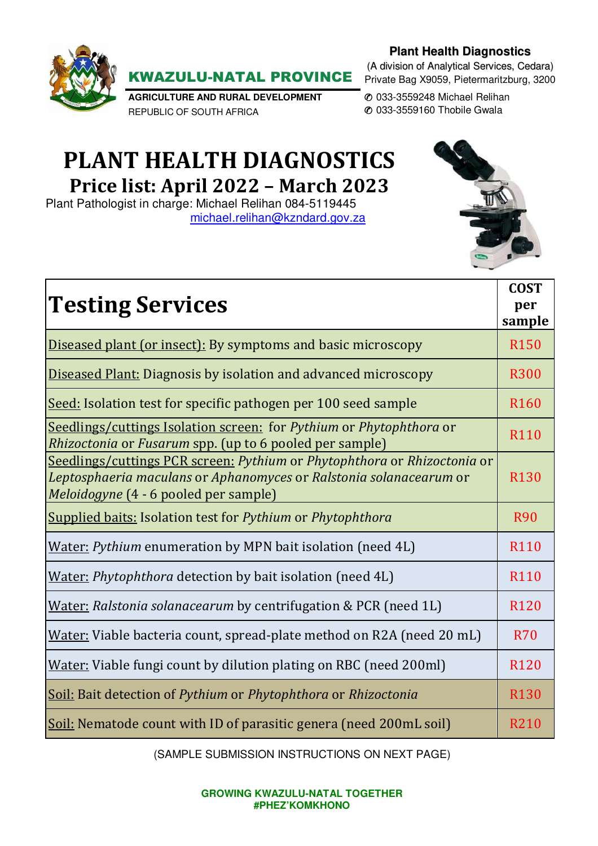# **Plant Health Diagnostics**



KWAZULU-NATAL PROVINCE

**AGRICULTURE AND RURAL DEVELOPMENT**  REPUBLIC OF SOUTH AFRICA

✆ 033-3559248 Michael Relihan ✆ 033-3559160 Thobile Gwala

# **PLANT HEALTH DIAGNOSTICS Price list: April 2022 – March 2023**

Plant Pathologist in charge: Michael Relihan 084-5119445 michael.relihan@kzndard.gov.za



| <b>Testing Services</b>                                                                                                                                                                 | <b>COST</b><br>per<br>sample |
|-----------------------------------------------------------------------------------------------------------------------------------------------------------------------------------------|------------------------------|
| Diseased plant (or insect): By symptoms and basic microscopy                                                                                                                            | <b>R150</b>                  |
| <b>Diseased Plant: Diagnosis by isolation and advanced microscopy</b>                                                                                                                   | <b>R300</b>                  |
| Seed: Isolation test for specific pathogen per 100 seed sample                                                                                                                          | R <sub>160</sub>             |
| Seedlings/cuttings Isolation screen: for Pythium or Phytophthora or<br>Rhizoctonia or Fusarum spp. (up to 6 pooled per sample)                                                          | R110                         |
| Seedlings/cuttings PCR screen: Pythium or Phytophthora or Rhizoctonia or<br>Leptosphaeria maculans or Aphanomyces or Ralstonia solanacearum or<br>Meloidogyne (4 - 6 pooled per sample) | <b>R130</b>                  |
| <b>Supplied baits: Isolation test for Pythium or Phytophthora</b>                                                                                                                       | <b>R90</b>                   |
| Water: <i>Pythium</i> enumeration by MPN bait isolation (need 4L)                                                                                                                       | R <sub>110</sub>             |
| Water: Phytophthora detection by bait isolation (need 4L)                                                                                                                               | R <sub>110</sub>             |
| Water: Ralstonia solanacearum by centrifugation & PCR (need 1L)                                                                                                                         | R <sub>120</sub>             |
| Water: Viable bacteria count, spread-plate method on R2A (need 20 mL)                                                                                                                   | <b>R70</b>                   |
| Water: Viable fungi count by dilution plating on RBC (need 200ml)                                                                                                                       | R <sub>120</sub>             |
| Soil: Bait detection of Pythium or Phytophthora or Rhizoctonia                                                                                                                          | <b>R130</b>                  |
| Soil: Nematode count with ID of parasitic genera (need 200mL soil)                                                                                                                      | R210                         |

(SAMPLE SUBMISSION INSTRUCTIONS ON NEXT PAGE)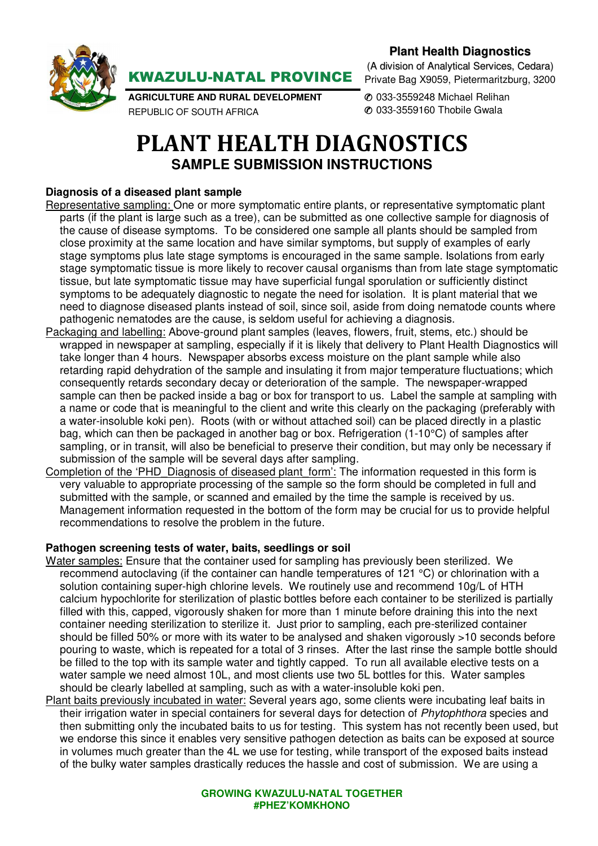

**Plant Health Diagnostics**

**AGRICULTURE AND RURAL DEVELOPMENT**  REPUBLIC OF SOUTH AFRICA

KWAZULU-NATAL PROVINCE

(A division of Analytical Services, Cedara) Private Bag X9059, Pietermaritzburg, 3200

✆ 033-3559248 Michael Relihan ✆ 033-3559160 Thobile Gwala

# **PLANT HEALTH DIAGNOSTICS SAMPLE SUBMISSION INSTRUCTIONS**

## **Diagnosis of a diseased plant sample**

- Representative sampling: One or more symptomatic entire plants, or representative symptomatic plant parts (if the plant is large such as a tree), can be submitted as one collective sample for diagnosis of the cause of disease symptoms. To be considered one sample all plants should be sampled from close proximity at the same location and have similar symptoms, but supply of examples of early stage symptoms plus late stage symptoms is encouraged in the same sample. Isolations from early stage symptomatic tissue is more likely to recover causal organisms than from late stage symptomatic tissue, but late symptomatic tissue may have superficial fungal sporulation or sufficiently distinct symptoms to be adequately diagnostic to negate the need for isolation. It is plant material that we need to diagnose diseased plants instead of soil, since soil, aside from doing nematode counts where pathogenic nematodes are the cause, is seldom useful for achieving a diagnosis.
- Packaging and labelling: Above-ground plant samples (leaves, flowers, fruit, stems, etc.) should be wrapped in newspaper at sampling, especially if it is likely that delivery to Plant Health Diagnostics will take longer than 4 hours. Newspaper absorbs excess moisture on the plant sample while also retarding rapid dehydration of the sample and insulating it from major temperature fluctuations; which consequently retards secondary decay or deterioration of the sample. The newspaper-wrapped sample can then be packed inside a bag or box for transport to us. Label the sample at sampling with a name or code that is meaningful to the client and write this clearly on the packaging (preferably with a water-insoluble koki pen). Roots (with or without attached soil) can be placed directly in a plastic bag, which can then be packaged in another bag or box. Refrigeration (1-10°C) of samples after sampling, or in transit, will also be beneficial to preserve their condition, but may only be necessary if submission of the sample will be several days after sampling.
- Completion of the 'PHD\_Diagnosis of diseased plant\_form': The information requested in this form is very valuable to appropriate processing of the sample so the form should be completed in full and submitted with the sample, or scanned and emailed by the time the sample is received by us. Management information requested in the bottom of the form may be crucial for us to provide helpful recommendations to resolve the problem in the future.

### **Pathogen screening tests of water, baits, seedlings or soil**

- Water samples: Ensure that the container used for sampling has previously been sterilized. We recommend autoclaving (if the container can handle temperatures of 121 °C) or chlorination with a solution containing super-high chlorine levels. We routinely use and recommend 10g/L of HTH calcium hypochlorite for sterilization of plastic bottles before each container to be sterilized is partially filled with this, capped, vigorously shaken for more than 1 minute before draining this into the next container needing sterilization to sterilize it. Just prior to sampling, each pre-sterilized container should be filled 50% or more with its water to be analysed and shaken vigorously >10 seconds before pouring to waste, which is repeated for a total of 3 rinses. After the last rinse the sample bottle should be filled to the top with its sample water and tightly capped. To run all available elective tests on a water sample we need almost 10L, and most clients use two 5L bottles for this. Water samples should be clearly labelled at sampling, such as with a water-insoluble koki pen.
- Plant baits previously incubated in water: Several years ago, some clients were incubating leaf baits in their irrigation water in special containers for several days for detection of Phytophthora species and then submitting only the incubated baits to us for testing. This system has not recently been used, but we endorse this since it enables very sensitive pathogen detection as baits can be exposed at source in volumes much greater than the 4L we use for testing, while transport of the exposed baits instead of the bulky water samples drastically reduces the hassle and cost of submission. We are using a